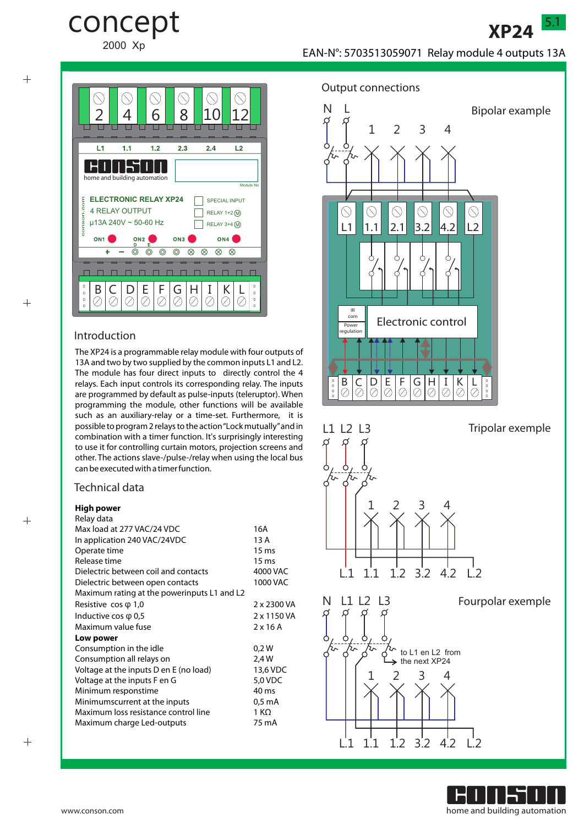

 $^{+}$ 

 $+$ 

 $^{+}$ 



concept

2000 Xp

#### Introduction

The XP24 is a programmable relay module with four outputs of 13A and two by two supplied by the common inputs L1 and L2. The module has four direct inputs to directly control the 4 relays. Each input controls its corresponding relay. The inputs are programmed by default as pulse-inputs (teleruptor). When programming the module, other functions will be available such as an auxiliary-relay or a time-set. Furthermore, it is possible to program 2 relays to the action "Lock mutually"and in combination with a timer function. It's surprisingly interesting to use it for controlling curtain motors, projection screens and other. The actions slave-/pulse-/relay when using the local bus can be executed with a timer function.

## Technical data

## **High power**

| Relay data                                  |                  |
|---------------------------------------------|------------------|
| Max load at 277 VAC/24 VDC                  | 16A              |
| In application 240 VAC/24VDC                | 13 A             |
| Operate time                                | 15 <sub>ms</sub> |
| Release time                                | 15 <sub>ms</sub> |
| Dielectric between coil and contacts        | 4000 VAC         |
| Dielectric between open contacts            | 1000 VAC         |
| Maximum rating at the powerinputs L1 and L2 |                  |
| Resistive $\cos \varphi$ 1,0                | 2 x 2300 VA      |
| Inductive cos $\varphi$ 0,5                 | 2 x 1150 VA      |
| Maximum value fuse                          | $2 \times 16$ A  |
| Low power                                   |                  |
| Consumption in the idle                     | 0.2W             |
| Consumption all relays on                   | 2,4 W            |
| Voltage at the inputs D en E (no load)      | 13,6 VDC         |
| Voltage at the inputs F en G                | 5,0 VDC          |
| Minimum responstime                         | 40 ms            |
| Minimumscurrent at the inputs               | 0,5 mA           |
| Maximum loss resistance control line        | 1 KΩ             |
| Maximum charge Led-outputs                  | 75 mA            |
|                                             |                  |



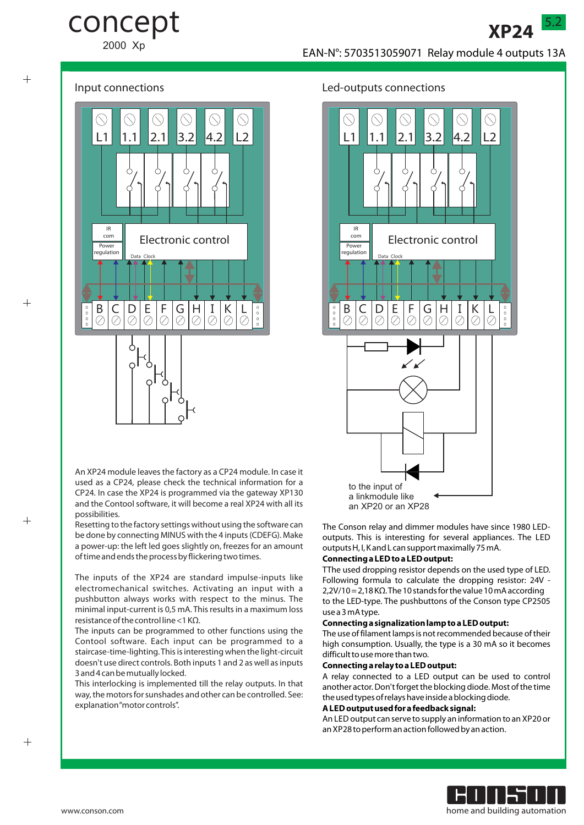## concept

2000 Xp





 $^{+}$ 

 $+$ 



An XP24 module leaves the factory as a CP24 module. In case it used as a CP24, please check the technical information for a CP24. In case the XP24 is programmed via the gateway XP130 and the Contool software, it will become a real XP24 with all its possibilities.

Resetting to the factory settings without using the software can be done by connecting MINUS with the 4 inputs (CDEFG). Make a power-up: the left led goes slightly on, freezes for an amount of time and ends the process by flickering two times.

The inputs of the XP24 are standard impulse-inputs like electromechanical switches. Activating an input with a pushbutton always works with respect to the minus. The minimal input-current is 0,5 mA. This results in a maximum loss resistance of the control line <1 KΩ.

The inputs can be programmed to other functions using the Contool software. Each input can be programmed to a staircase-time-lighting. This is interesting when the light-circuit doesn't use direct controls. Both inputs 1 and 2 as well as inputs 3 and 4 can be mutually locked.

This interlocking is implemented till the relay outputs. In that way, the motors for sunshades and other can be controlled. See: explanation "motor controls".

#### Input connections Led-outputs connections



The Conson relay and dimmer modules have since 1980 LEDoutputs. This is interesting for several appliances. The LED outputs H, I, K and L can support maximally 75 mA.

#### **Connecting a LEDto a LEDoutput:**

TThe used dropping resistor depends on the used type of LED. Following formula to calculate the dropping resistor: 24V - 2,2V/10 = 2,18 KΩ. The 10 stands for the value 10 mA according to the LED-type. The pushbuttons of the Conson type CP2505 use a 3 mA type.

#### **Connecting a signalization lamp to a LEDoutput:**

The use of filament lamps is not recommended because of their high consumption. Usually, the type is a 30 mA so it becomes difficult to use more than two.

#### **Connecting a relay to a LEDoutput:**

A relay connected to a LED output can be used to control another actor. Don't forget the blocking diode. Most of the time the used types of relays have inside a blocking diode.

#### **A LEDoutput used for a feedback signal:**

An LEDoutput can serve to supply an information to an XP20 or an XP28 to perform an action followed by an action.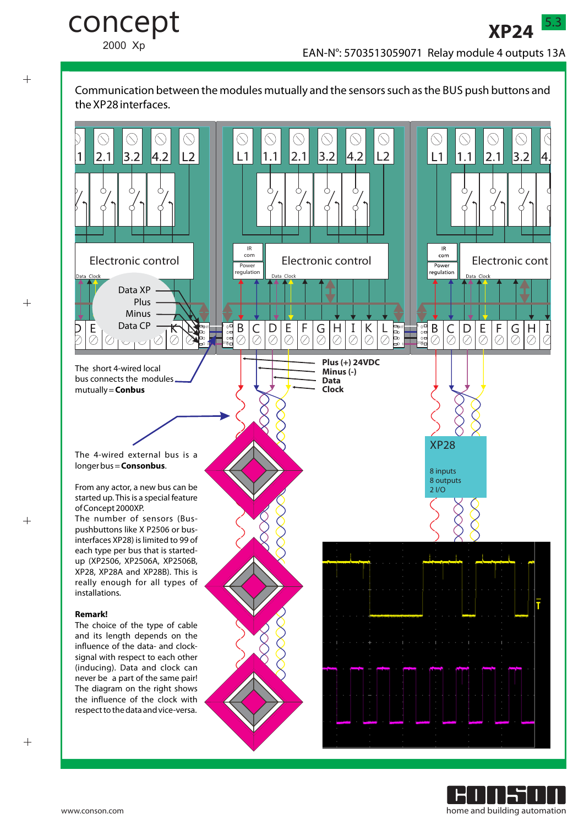Communication between the modules mutually and the sensors such as the BUS push buttons and





 $+$ 

 $^{+}$ 

 $+$ 

concept

2000 Xp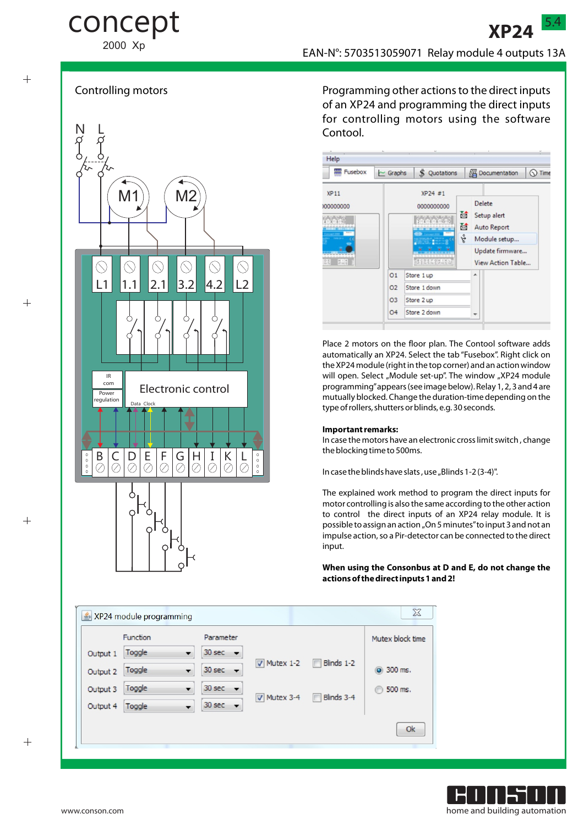# concept

2000 Xp

 $^{+}$ 

 $+$ 





Programming other actions to the direct inputs of an XP24 and programming the direct inputs for controlling motors using the software Contool.

| <b>Fusebox</b>                             |                                                     | $\sim$ Graphs<br>\$.<br>Quotations                       |             | <b>Documentation</b><br>$\bigcirc$ Time |                                                                                                            |  |
|--------------------------------------------|-----------------------------------------------------|----------------------------------------------------------|-------------|-----------------------------------------|------------------------------------------------------------------------------------------------------------|--|
| XP <sub>11</sub><br>000000000<br>見山梨<br>오인 |                                                     | XP24 #1<br>0000000000<br>11201200<br>.<br>18928489151    | 蔮<br>莤<br>ę |                                         | <b>Delete</b><br>Setup alert<br><b>Auto Report</b><br>Module setup<br>Update firmware<br>View Action Table |  |
|                                            | O <sub>1</sub><br>02<br><b>O3</b><br>O <sub>4</sub> | Store 1 up<br>Store 1 down<br>Store 2 up<br>Store 2 down |             | ▲<br>٠                                  |                                                                                                            |  |

Place 2 motors on the floor plan. The Contool software adds automatically an XP24. Select the tab "Fusebox". Right click on the XP24 module (right in the top corner) and an action window will open. Select "Module set-up". The window "XP24 module programming"appears (see image below). Relay 1, 2, 3 and 4 are mutually blocked. Change the duration-time depending on the type of rollers, shutters or blinds, e.g. 30 seconds.

#### **Important remarks:**

In case the motors have an electronic cross limit switch , change the blocking time to 500ms.

In case the blinds have slats, use "Blinds 1-2 (3-4)".

The explained work method to program the direct inputs for motor controlling is also the same according to the other action to control the direct inputs of an XP24 relay module. It is possible to assign an action "On 5 minutes" to input 3 and not an impulse action, so a Pir-detector can be connected to the direct input.

#### **When using the Consonbus at D and E, do not change the actions of the direct inputs 1 and 2!**

|          | Function |                          | Parameter                          |                           |                   | Mutex block time   |
|----------|----------|--------------------------|------------------------------------|---------------------------|-------------------|--------------------|
| Output 1 | Toggle   |                          | 30 sec<br>$\overline{\phantom{a}}$ |                           |                   |                    |
| Output 2 | Toggle   | $\overline{\phantom{0}}$ | $30 \text{ sec}$ $\rightarrow$     | $\triangledown$ Mutex 1-2 | $\Box$ Blinds 1-2 | 200 ms.            |
| Output 3 | Toggle   | ▼                        | 30 sec<br>$\overline{\phantom{0}}$ | Mutex 3-4                 | Blinds 3-4<br>F   | 500 ms.<br>$\circ$ |
| Output 4 | Toggle   |                          | $30 \text{ sec}$ $\rightarrow$     |                           |                   |                    |